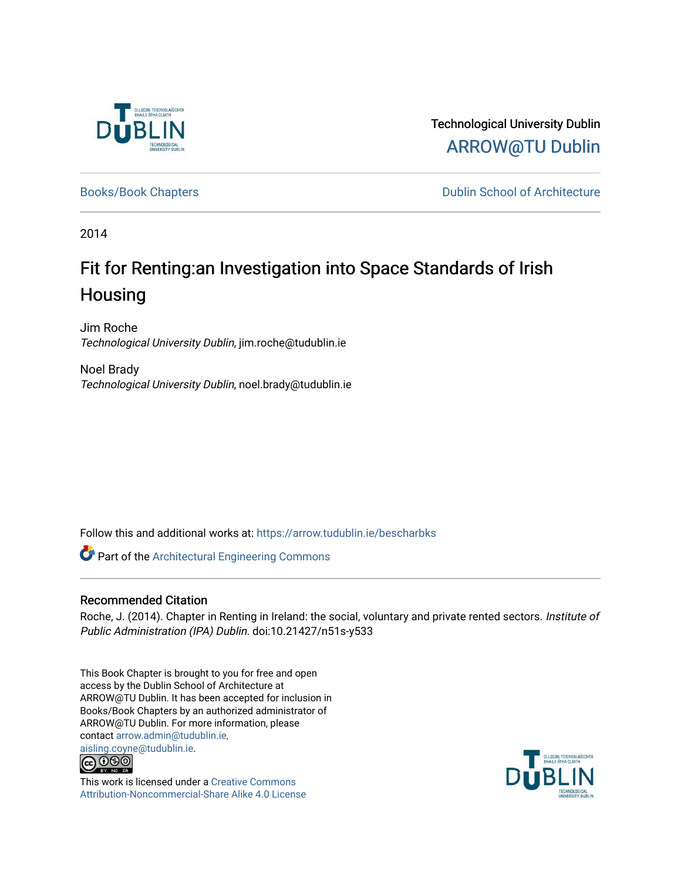

Technological University Dublin [ARROW@TU Dublin](https://arrow.tudublin.ie/) 

[Books/Book Chapters](https://arrow.tudublin.ie/bescharbks) **Dublin School of Architecture** 

2014

# Fit for Renting:an Investigation into Space Standards of Irish Housing

Jim Roche Technological University Dublin, jim.roche@tudublin.ie

Noel Brady Technological University Dublin, noel.brady@tudublin.ie

Follow this and additional works at: [https://arrow.tudublin.ie/bescharbks](https://arrow.tudublin.ie/bescharbks?utm_source=arrow.tudublin.ie%2Fbescharbks%2F1&utm_medium=PDF&utm_campaign=PDFCoverPages)

Part of the [Architectural Engineering Commons](http://network.bepress.com/hgg/discipline/774?utm_source=arrow.tudublin.ie%2Fbescharbks%2F1&utm_medium=PDF&utm_campaign=PDFCoverPages)

# Recommended Citation

Roche, J. (2014). Chapter in Renting in Ireland: the social, voluntary and private rented sectors. Institute of Public Administration (IPA) Dublin. doi:10.21427/n51s-y533

This Book Chapter is brought to you for free and open access by the Dublin School of Architecture at ARROW@TU Dublin. It has been accepted for inclusion in Books/Book Chapters by an authorized administrator of ARROW@TU Dublin. For more information, please contact [arrow.admin@tudublin.ie,](mailto:arrow.admin@tudublin.ie,%20aisling.coyne@tudublin.ie) 



This work is licensed under a [Creative Commons](http://creativecommons.org/licenses/by-nc-sa/4.0/) [Attribution-Noncommercial-Share Alike 4.0 License](http://creativecommons.org/licenses/by-nc-sa/4.0/)

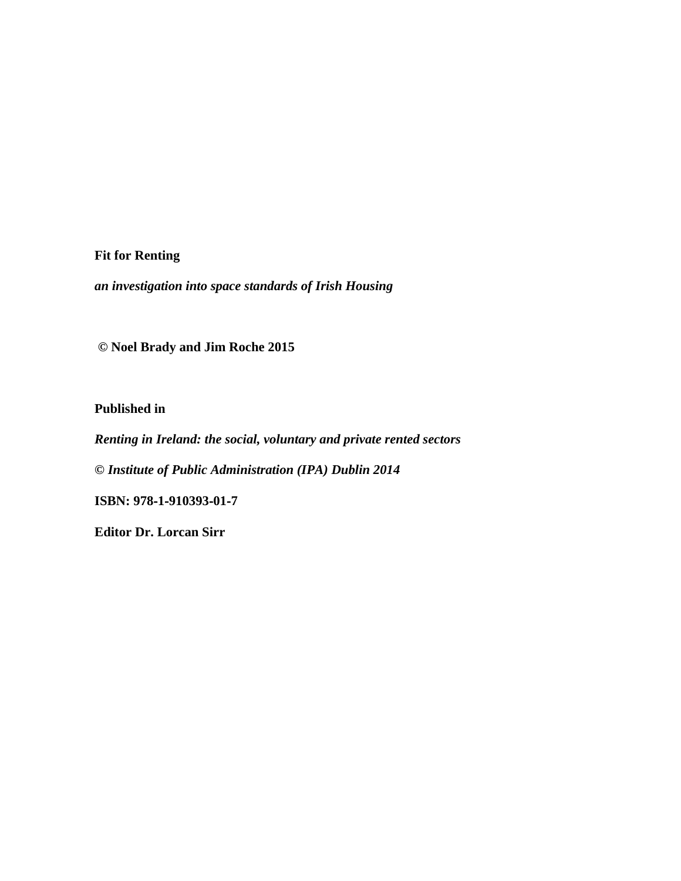**Fit for Renting**

*an investigation into space standards of Irish Housing*

**© Noel Brady and Jim Roche 2015**

**Published in** 

*Renting in Ireland: the social, voluntary and private rented sectors*

**©** *Institute of Public Administration (IPA) Dublin 2014*

**ISBN: 978**‐**1**‐**910393**‐**01**‐**7**

**Editor Dr. Lorcan Sirr**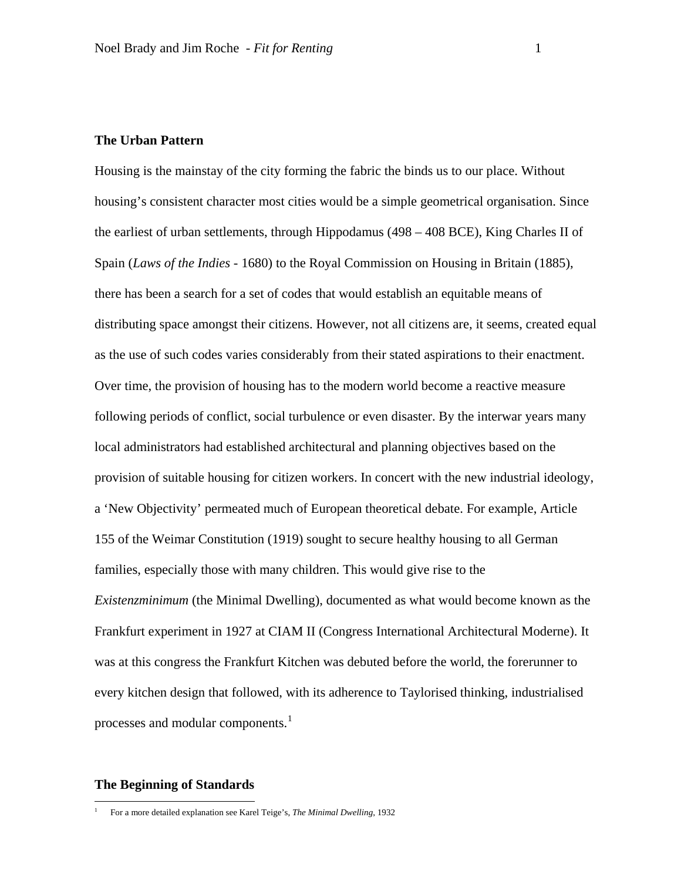## **The Urban Pattern**

Housing is the mainstay of the city forming the fabric the binds us to our place. Without housing's consistent character most cities would be a simple geometrical organisation. Since the earliest of urban settlements, through Hippodamus (498 – 408 BCE), King Charles II of Spain (*Laws of the Indies* - 1680) to the Royal Commission on Housing in Britain (1885), there has been a search for a set of codes that would establish an equitable means of distributing space amongst their citizens. However, not all citizens are, it seems, created equal as the use of such codes varies considerably from their stated aspirations to their enactment. Over time, the provision of housing has to the modern world become a reactive measure following periods of conflict, social turbulence or even disaster. By the interwar years many local administrators had established architectural and planning objectives based on the provision of suitable housing for citizen workers. In concert with the new industrial ideology, a 'New Objectivity' permeated much of European theoretical debate. For example, Article 155 of the Weimar Constitution (1919) sought to secure healthy housing to all German families, especially those with many children. This would give rise to the *Existenzminimum* (the Minimal Dwelling), documented as what would become known as the Frankfurt experiment in 1927 at CIAM II (Congress International Architectural Moderne). It was at this congress the Frankfurt Kitchen was debuted before the world, the forerunner to every kitchen design that followed, with its adherence to Taylorised thinking, industrialised processes and modular components.<sup>[1](#page-2-0)</sup>

#### **The Beginning of Standards**

<span id="page-2-0"></span> <sup>1</sup> For a more detailed explanation see Karel Teige's, *The Minimal Dwelling*, 1932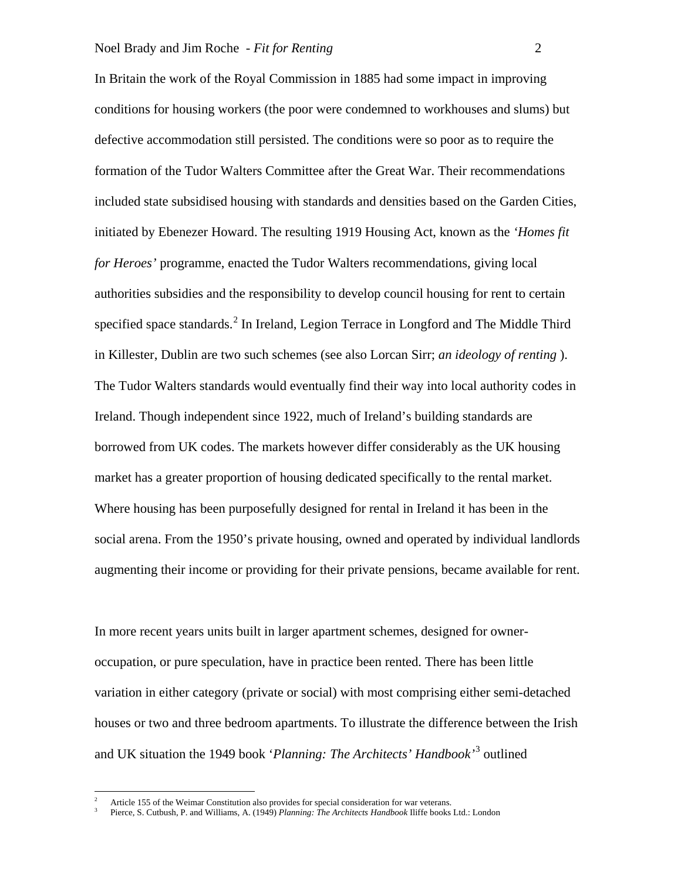In Britain the work of the Royal Commission in 1885 had some impact in improving conditions for housing workers (the poor were condemned to workhouses and slums) but defective accommodation still persisted. The conditions were so poor as to require the formation of the Tudor Walters Committee after the Great War. Their recommendations included state subsidised housing with standards and densities based on the Garden Cities, initiated by Ebenezer Howard. The resulting 1919 Housing Act, known as the *'Homes fit for Heroes'* programme, enacted the Tudor Walters recommendations, giving local authorities subsidies and the responsibility to develop council housing for rent to certain specified space standards. $<sup>2</sup>$  $<sup>2</sup>$  $<sup>2</sup>$  In Ireland, Legion Terrace in Longford and The Middle Third</sup> in Killester, Dublin are two such schemes (see also Lorcan Sirr; *an ideology of renting* ). The Tudor Walters standards would eventually find their way into local authority codes in Ireland. Though independent since 1922, much of Ireland's building standards are borrowed from UK codes. The markets however differ considerably as the UK housing market has a greater proportion of housing dedicated specifically to the rental market. Where housing has been purposefully designed for rental in Ireland it has been in the social arena. From the 1950's private housing, owned and operated by individual landlords augmenting their income or providing for their private pensions, became available for rent.

In more recent years units built in larger apartment schemes, designed for owneroccupation, or pure speculation, have in practice been rented. There has been little variation in either category (private or social) with most comprising either semi-detached houses or two and three bedroom apartments. To illustrate the difference between the Irish and UK situation the 1949 book '*Planning: The Architects' Handbook'* [3](#page-3-1) outlined

 <sup>2</sup> Article 155 of the Weimar Constitution also provides for special consideration for war veterans.

<span id="page-3-1"></span><span id="page-3-0"></span><sup>3</sup> Pierce, S. Cutbush, P. and Williams, A. (1949) *Planning: The Architects Handbook* Iliffe books Ltd.: London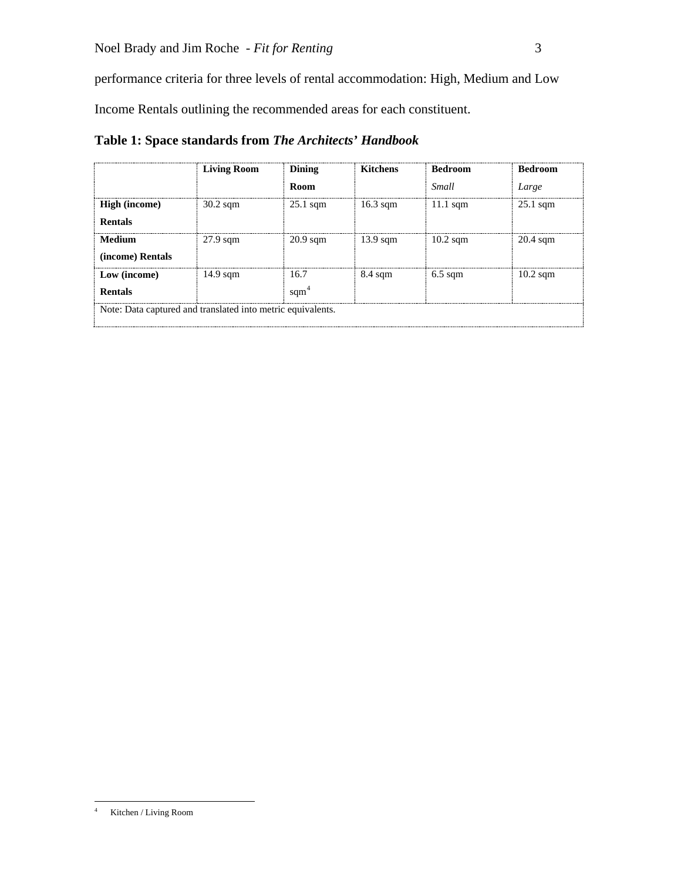performance criteria for three levels of rental accommodation: High, Medium and Low

Income Rentals outlining the recommended areas for each constituent.

|                                                             | <b>Living Room</b> | <b>Dining</b>          | <b>Kitchens</b>    | <b>Bedroom</b>     | <b>Bedroom</b>     |
|-------------------------------------------------------------|--------------------|------------------------|--------------------|--------------------|--------------------|
|                                                             |                    | <b>Room</b>            |                    | Small              | Large              |
| <b>High</b> (income)<br><b>Rentals</b>                      | $30.2$ sqm         | $25.1$ sqm             | $16.3$ sqm         | $11.1$ sqm         | $25.1$ sqm         |
| Medium<br>(income) Rentals                                  | $27.9$ sqm         | $20.9 \text{ sqm}$     | $13.9 \text{ sqm}$ | $10.2 \text{ sgm}$ | $20.4 \text{ sqm}$ |
| Low (income)<br><b>Rentals</b>                              | $14.9 \text{ sqm}$ | 16.7<br>$\text{sqm}^4$ | $8.4 \text{ sqm}$  | $6.5$ sqm          | $10.2 \text{ sqm}$ |
| Note: Data captured and translated into metric equivalents. |                    |                        |                    |                    |                    |

**Table 1: Space standards from** *The Architects' Handbook*

<span id="page-4-0"></span> <sup>4</sup> Kitchen / Living Room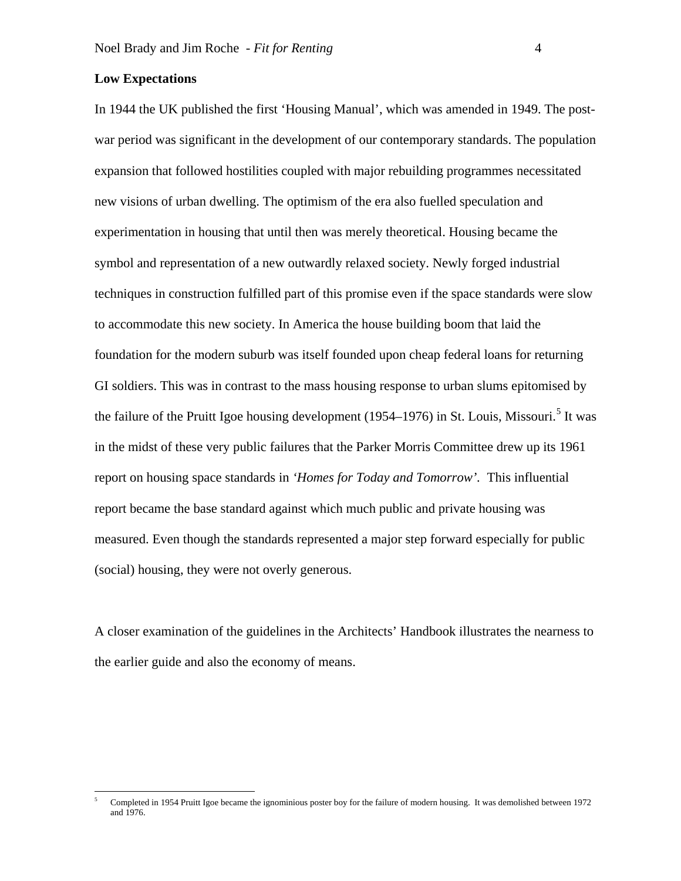#### **Low Expectations**

In 1944 the UK published the first 'Housing Manual', which was amended in 1949. The postwar period was significant in the development of our contemporary standards. The population expansion that followed hostilities coupled with major rebuilding programmes necessitated new visions of urban dwelling. The optimism of the era also fuelled speculation and experimentation in housing that until then was merely theoretical. Housing became the symbol and representation of a new outwardly relaxed society. Newly forged industrial techniques in construction fulfilled part of this promise even if the space standards were slow to accommodate this new society. In America the house building boom that laid the foundation for the modern suburb was itself founded upon cheap federal loans for returning GI soldiers. This was in contrast to the mass housing response to urban slums epitomised by the failure of the Pruitt Igoe housing development (19[5](#page-5-0)4–1976) in St. Louis, Missouri.<sup>5</sup> It was in the midst of these very public failures that the Parker Morris Committee drew up its 1961 report on housing space standards in *'Homes for Today and Tomorrow'.* This influential report became the base standard against which much public and private housing was measured. Even though the standards represented a major step forward especially for public (social) housing, they were not overly generous.

A closer examination of the guidelines in the Architects' Handbook illustrates the nearness to the earlier guide and also the economy of means.

<span id="page-5-0"></span> <sup>5</sup> Completed in 1954 Pruitt Igoe became the ignominious poster boy for the failure of modern housing. It was demolished between 1972 and 1976.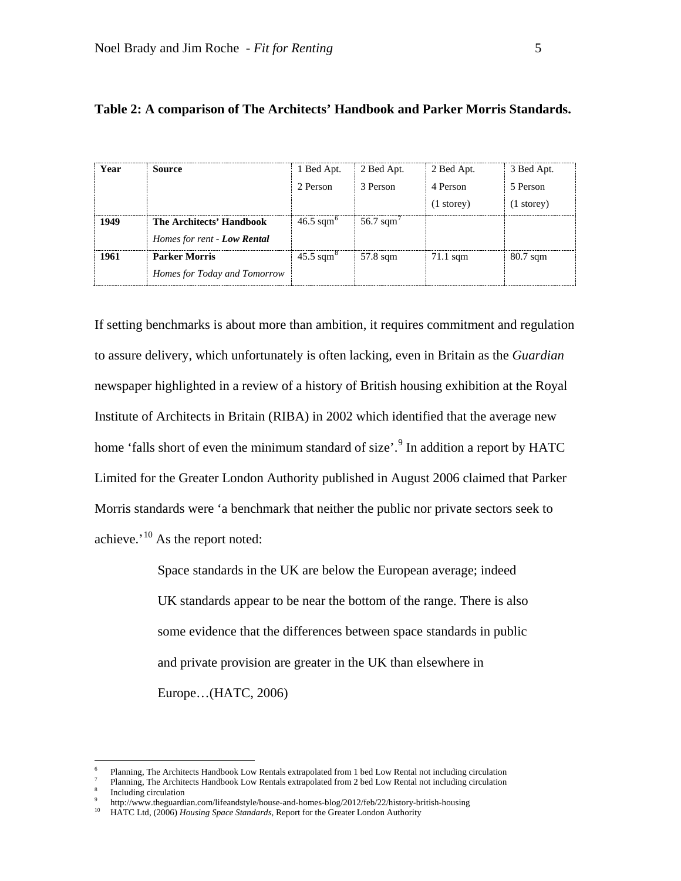*Homes for Today and Tomorrow*

| Year | <b>Source</b>                                           | 1 Bed Apt.           | 2 Bed Apt.                      | 2 Bed Apt.                       | 3 Bed Apt.                       |
|------|---------------------------------------------------------|----------------------|---------------------------------|----------------------------------|----------------------------------|
|      |                                                         | 2 Person             | 3 Person                        | 4 Person<br>$(1 \text{ storey})$ | 5 Person<br>$(1 \text{ storey})$ |
| 1949 | The Architects' Handbook<br>Homes for rent - Low Rental | $46.5 \text{ sqm}^6$ | $\approx 56.7$ sqm <sup>2</sup> |                                  |                                  |
| 1961 | <b>Parker Morris</b>                                    | $45.5 \text{ sqm}^8$ | $\approx$ 57.8 sqm              | 71.1 sam                         | 80.7 sqm                         |

## **Table 2: A comparison of The Architects' Handbook and Parker Morris Standards.**

If setting benchmarks is about more than ambition, it requires commitment and regulation to assure delivery, which unfortunately is often lacking, even in Britain as the *Guardian* newspaper highlighted in a review of a history of British housing exhibition at the Royal Institute of Architects in Britain (RIBA) in 2002 which identified that the average new home 'falls short of even the minimum standard of size'.<sup>[9](#page-6-3)</sup> In addition a report by HATC Limited for the Greater London Authority published in August 2006 claimed that Parker Morris standards were 'a benchmark that neither the public nor private sectors seek to achieve.' $10$  As the report noted:

> Space standards in the UK are below the European average; indeed UK standards appear to be near the bottom of the range. There is also some evidence that the differences between space standards in public and private provision are greater in the UK than elsewhere in Europe…(HATC, 2006)

 <sup>6</sup> Planning, The Architects Handbook Low Rentals extrapolated from 1 bed Low Rental not including circulation

<span id="page-6-1"></span><span id="page-6-0"></span><sup>7</sup> Planning, The Architects Handbook Low Rentals extrapolated from 2 bed Low Rental not including circulation

<span id="page-6-2"></span>Including circulation

<span id="page-6-4"></span><span id="page-6-3"></span><sup>&</sup>lt;sup>9</sup> <http://www.theguardian.com/lifeandstyle/house-and-homes-blog/2012/feb/22/history-british-housing><br><sup>10</sup> HATC Ltd. (2006) *Hausing Space Standards*, Bonost for the Creater Landar, Authority

HATC Ltd, (2006) *Housing Space Standards*, Report for the Greater London Authority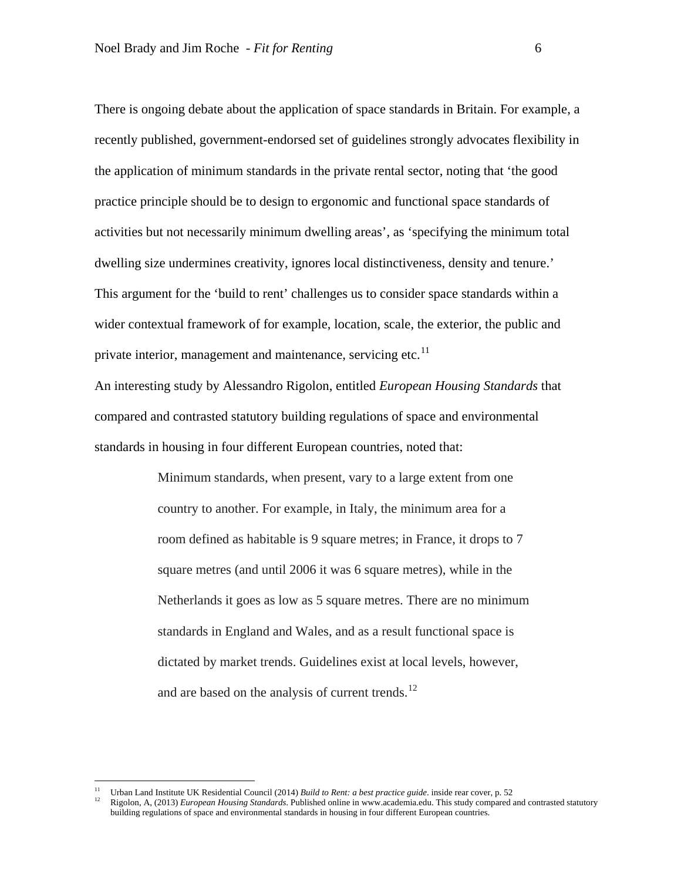There is ongoing debate about the application of space standards in Britain. For example, a recently published, government-endorsed set of guidelines strongly advocates flexibility in the application of minimum standards in the private rental sector, noting that 'the good practice principle should be to design to ergonomic and functional space standards of activities but not necessarily minimum dwelling areas', as 'specifying the minimum total dwelling size undermines creativity, ignores local distinctiveness, density and tenure.' This argument for the 'build to rent' challenges us to consider space standards within a wider contextual framework of for example, location, scale, the exterior, the public and private interior, management and maintenance, servicing etc.<sup>[11](#page-7-0)</sup>

An interesting study by Alessandro Rigolon, entitled *European Housing Standards* that compared and contrasted statutory building regulations of space and environmental standards in housing in four different European countries, noted that:

> Minimum standards, when present, vary to a large extent from one country to another. For example, in Italy, the minimum area for a room defined as habitable is 9 square metres; in France, it drops to 7 square metres (and until 2006 it was 6 square metres), while in the Netherlands it goes as low as 5 square metres. There are no minimum standards in England and Wales, and as a result functional space is dictated by market trends. Guidelines exist at local levels, however, and are based on the analysis of current trends. $^{12}$  $^{12}$  $^{12}$

<span id="page-7-1"></span><span id="page-7-0"></span><sup>&</sup>lt;sup>11</sup> Urban Land Institute UK Residential Council (2014) *Build to Rent: a best practice guide*, inside rear cover, p. 52<br><sup>12</sup> Pischer A. (2013) *Expression Hamilto Standards* Published guitar in mum accelerity this time a

<sup>12</sup> Rigolon, A, (2013) *European Housing Standards*. Published online in www.academia.edu. This study compared and contrasted statutory building regulations of space and environmental standards in housing in four different European countries.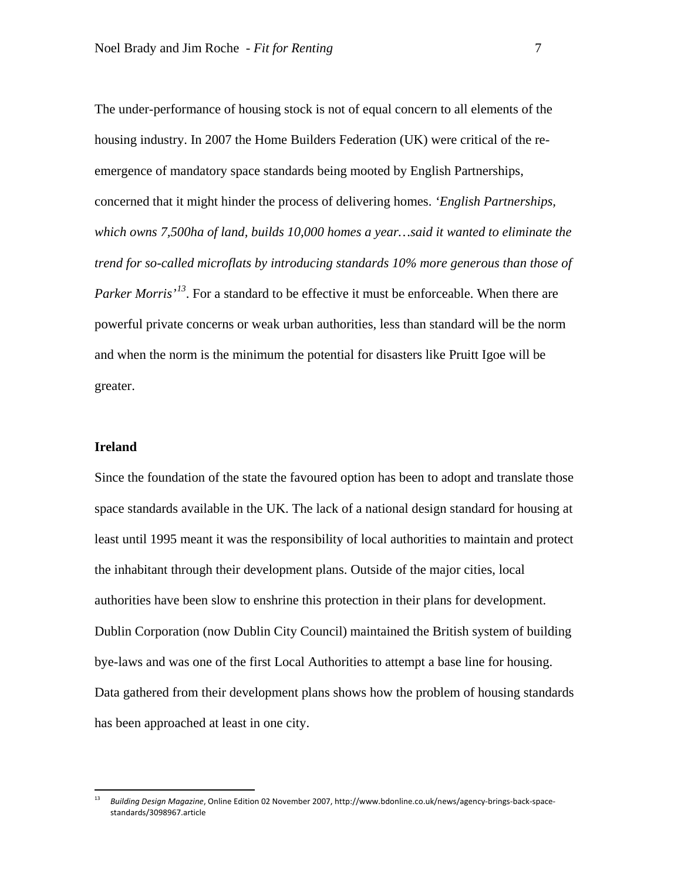The under-performance of housing stock is not of equal concern to all elements of the housing industry. In 2007 the Home Builders Federation (UK) were critical of the reemergence of mandatory space standards being mooted by English Partnerships, concerned that it might hinder the process of delivering homes. *'English Partnerships, which owns 7,500ha of land, builds 10,000 homes a year…said it wanted to eliminate the trend for so-called microflats by introducing standards 10% more generous than those of*  Parker Morris<sup>'[13](#page-8-0)</sup>. For a standard to be effective it must be enforceable. When there are powerful private concerns or weak urban authorities, less than standard will be the norm and when the norm is the minimum the potential for disasters like Pruitt Igoe will be greater.

# **Ireland**

Since the foundation of the state the favoured option has been to adopt and translate those space standards available in the UK. The lack of a national design standard for housing at least until 1995 meant it was the responsibility of local authorities to maintain and protect the inhabitant through their development plans. Outside of the major cities, local authorities have been slow to enshrine this protection in their plans for development. Dublin Corporation (now Dublin City Council) maintained the British system of building bye-laws and was one of the first Local Authorities to attempt a base line for housing. Data gathered from their development plans shows how the problem of housing standards has been approached at least in one city.

<span id="page-8-0"></span><sup>13</sup> *Building Design Magazine*, Online Edition 02 November 2007, http://www.bdonline.co.uk/news/agency-brings-back-spacestandards/3098967.article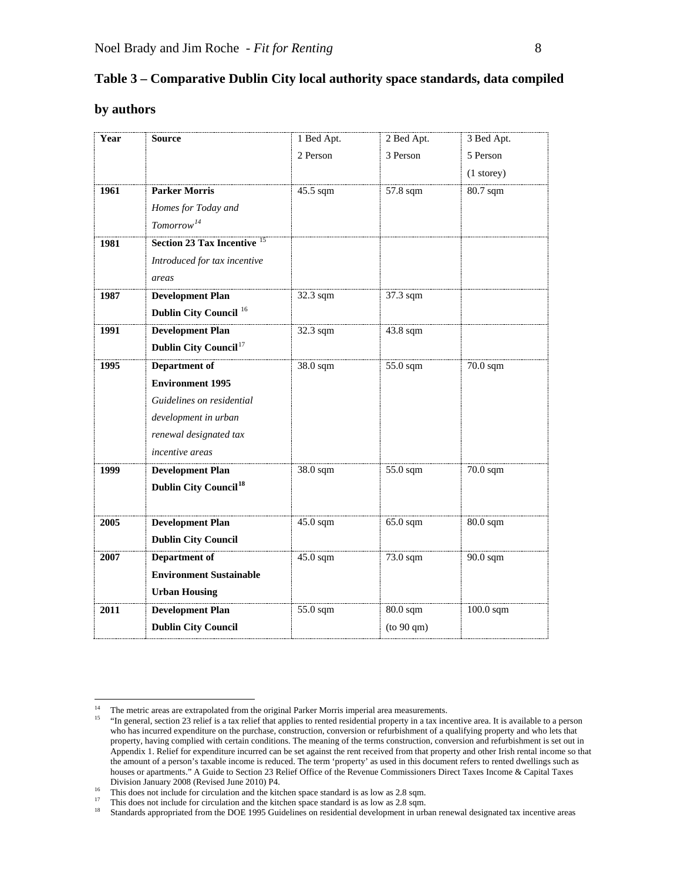| Table 3 – Comparative Dublin City local authority space standards, data compiled |  |
|----------------------------------------------------------------------------------|--|
|----------------------------------------------------------------------------------|--|

## **by authors**

| Year | <b>Source</b>                           | 1 Bed Apt. | 2 Bed Apt. | 3 Bed Apt.   |
|------|-----------------------------------------|------------|------------|--------------|
|      |                                         | 2 Person   | 3 Person   | 5 Person     |
|      |                                         |            |            | $(1$ storey) |
| 1961 | <b>Parker Morris</b>                    | 45.5 sqm   | $57.8$ sqm | $80.7$ sqm   |
|      | Homes for Today and                     |            |            |              |
|      | Tomorrow <sup>14</sup>                  |            |            |              |
| 1981 | <b>Section 23 Tax Incentive</b>         |            |            |              |
|      | Introduced for tax incentive            |            |            |              |
|      | areas                                   |            |            |              |
| 1987 | <b>Development Plan</b>                 | 32.3 sqm   | 37.3 sqm   |              |
|      | Dublin City Council <sup>16</sup>       |            |            |              |
| 1991 | <b>Development Plan</b>                 | 32.3 sqm   | 43.8 sqm   |              |
|      | Dublin City Council <sup>17</sup>       |            |            |              |
| 1995 | Department of                           | 38.0 sqm   | 55.0 sqm   | 70.0 sqm     |
|      | <b>Environment 1995</b>                 |            |            |              |
|      | Guidelines on residential               |            |            |              |
|      | development in urban                    |            |            |              |
|      | renewal designated tax                  |            |            |              |
|      | incentive areas                         |            |            |              |
| 1999 | <b>Development Plan</b>                 | 38.0 sqm   | 55.0 sqm   | 70.0 sqm     |
|      | <b>Dublin City Council<sup>18</sup></b> |            |            |              |
|      |                                         |            |            |              |
| 2005 | <b>Development Plan</b>                 | 45.0 sqm   | 65.0 sqm   | 80.0 sqm     |
|      | <b>Dublin City Council</b>              |            |            |              |
| 2007 | Department of                           | 45.0 sqm   | 73.0 sqm   | 90.0 sqm     |
|      | <b>Environment Sustainable</b>          |            |            |              |
|      | <b>Urban Housing</b>                    |            |            |              |
| 2011 | <b>Development Plan</b>                 | 55.0 sqm   | $80.0$ sqm | $100.0$ sqm  |
|      | <b>Dublin City Council</b>              |            | (to 90 qm) |              |

<span id="page-9-1"></span><span id="page-9-0"></span><sup>&</sup>lt;sup>14</sup> The metric areas are extrapolated from the original Parker Morris imperial area measurements.<br><sup>15</sup> "In general section 23 relief is a tax relief that applies to rented residential property in a tax inc

<sup>&</sup>quot;In general, section 23 relief is a tax relief that applies to rented residential property in a tax incentive area. It is available to a person who has incurred expenditure on the purchase, construction, conversion or refurbishment of a qualifying property and who lets that property, having complied with certain conditions. The meaning of the terms construction, conversion and refurbishment is set out in Appendix 1. Relief for expenditure incurred can be set against the rent received from that property and other Irish rental income so that the amount of a person's taxable income is reduced. The term 'property' as used in this document refers to rented dwellings such as houses or apartments." A Guide to Section 23 Relief Office of the Revenue Commissioners Direct Taxes Income & Capital Taxes Division January 2008 (Revised June 2010) P4.

<span id="page-9-2"></span><sup>&</sup>lt;sup>16</sup> This does not include for circulation and the kitchen space standard is as low as 2.8 sqm.

<span id="page-9-4"></span><span id="page-9-3"></span><sup>&</sup>lt;sup>17</sup> This does not include for circulation and the kitchen space standard is as low as 2.8 sqm.<br><sup>18</sup> Standards appropriated from the DOE 1995 Guidelines on residential development in urb

<sup>18</sup> Standards appropriated from the DOE 1995 Guidelines on residential development in urban renewal designated tax incentive areas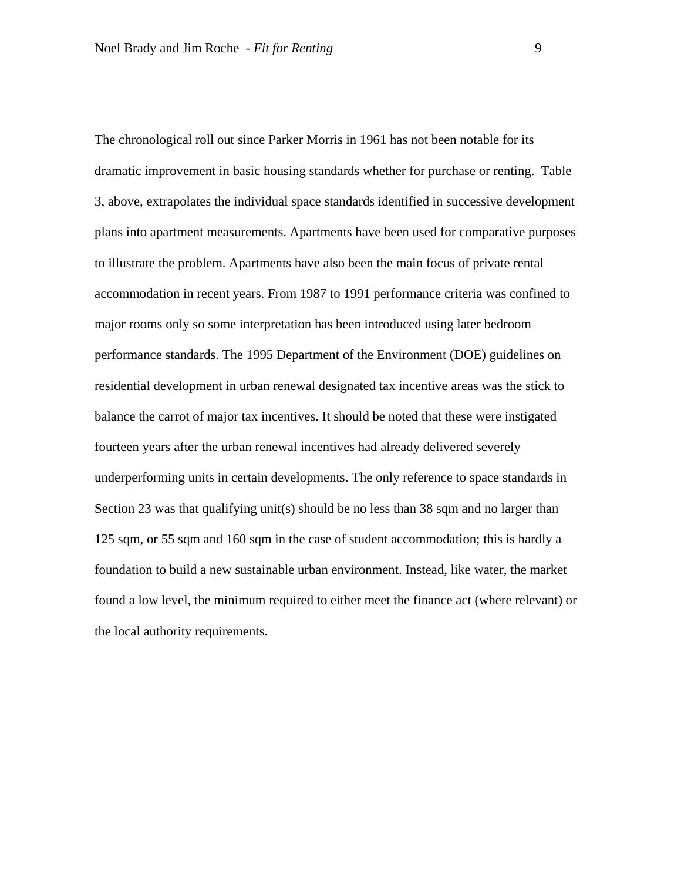The chronological roll out since Parker Morris in 1961 has not been notable for its dramatic improvement in basic housing standards whether for purchase or renting. Table 3, above, extrapolates the individual space standards identified in successive development plans into apartment measurements. Apartments have been used for comparative purposes to illustrate the problem. Apartments have also been the main focus of private rental accommodation in recent years. From 1987 to 1991 performance criteria was confined to major rooms only so some interpretation has been introduced using later bedroom performance standards. The 1995 Department of the Environment (DOE) guidelines on residential development in urban renewal designated tax incentive areas was the stick to balance the carrot of major tax incentives. It should be noted that these were instigated fourteen years after the urban renewal incentives had already delivered severely underperforming units in certain developments. The only reference to space standards in Section 23 was that qualifying unit(s) should be no less than 38 sqm and no larger than 125 sqm, or 55 sqm and 160 sqm in the case of student accommodation; this is hardly a foundation to build a new sustainable urban environment. Instead, like water, the market found a low level, the minimum required to either meet the finance act (where relevant) or the local authority requirements.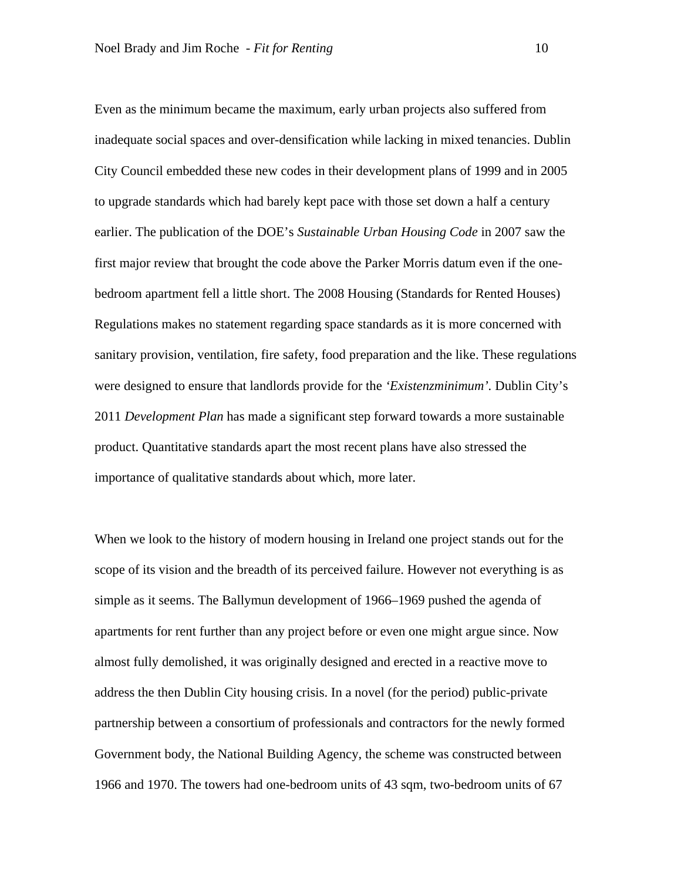Even as the minimum became the maximum, early urban projects also suffered from inadequate social spaces and over-densification while lacking in mixed tenancies. Dublin City Council embedded these new codes in their development plans of 1999 and in 2005 to upgrade standards which had barely kept pace with those set down a half a century earlier. The publication of the DOE's *Sustainable Urban Housing Code* in 2007 saw the first major review that brought the code above the Parker Morris datum even if the onebedroom apartment fell a little short. The 2008 Housing (Standards for Rented Houses) Regulations makes no statement regarding space standards as it is more concerned with sanitary provision, ventilation, fire safety, food preparation and the like. These regulations were designed to ensure that landlords provide for the *'Existenzminimum'.* Dublin City's 2011 *Development Plan* has made a significant step forward towards a more sustainable product. Quantitative standards apart the most recent plans have also stressed the importance of qualitative standards about which, more later.

When we look to the history of modern housing in Ireland one project stands out for the scope of its vision and the breadth of its perceived failure. However not everything is as simple as it seems. The Ballymun development of 1966–1969 pushed the agenda of apartments for rent further than any project before or even one might argue since. Now almost fully demolished, it was originally designed and erected in a reactive move to address the then Dublin City housing crisis. In a novel (for the period) public-private partnership between a consortium of professionals and contractors for the newly formed Government body, the National Building Agency, the scheme was constructed between 1966 and 1970. The towers had one-bedroom units of 43 sqm, two-bedroom units of 67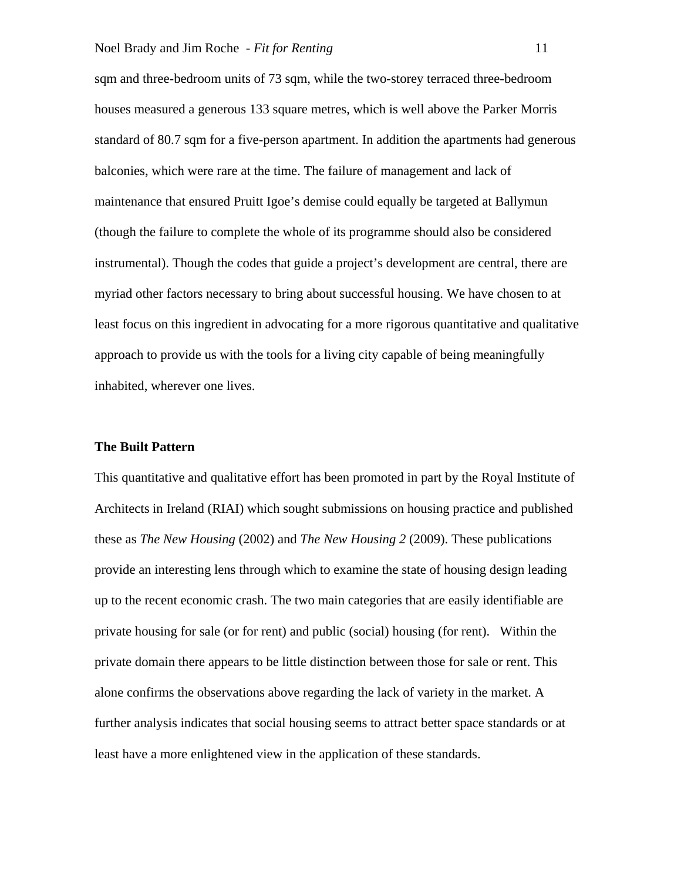sqm and three-bedroom units of 73 sqm, while the two-storey terraced three-bedroom houses measured a generous 133 square metres, which is well above the Parker Morris standard of 80.7 sqm for a five-person apartment. In addition the apartments had generous balconies, which were rare at the time. The failure of management and lack of maintenance that ensured Pruitt Igoe's demise could equally be targeted at Ballymun (though the failure to complete the whole of its programme should also be considered instrumental). Though the codes that guide a project's development are central, there are myriad other factors necessary to bring about successful housing. We have chosen to at least focus on this ingredient in advocating for a more rigorous quantitative and qualitative approach to provide us with the tools for a living city capable of being meaningfully inhabited, wherever one lives.

#### **The Built Pattern**

This quantitative and qualitative effort has been promoted in part by the Royal Institute of Architects in Ireland (RIAI) which sought submissions on housing practice and published these as *The New Housing* (2002) and *The New Housing 2* (2009). These publications provide an interesting lens through which to examine the state of housing design leading up to the recent economic crash. The two main categories that are easily identifiable are private housing for sale (or for rent) and public (social) housing (for rent). Within the private domain there appears to be little distinction between those for sale or rent. This alone confirms the observations above regarding the lack of variety in the market. A further analysis indicates that social housing seems to attract better space standards or at least have a more enlightened view in the application of these standards.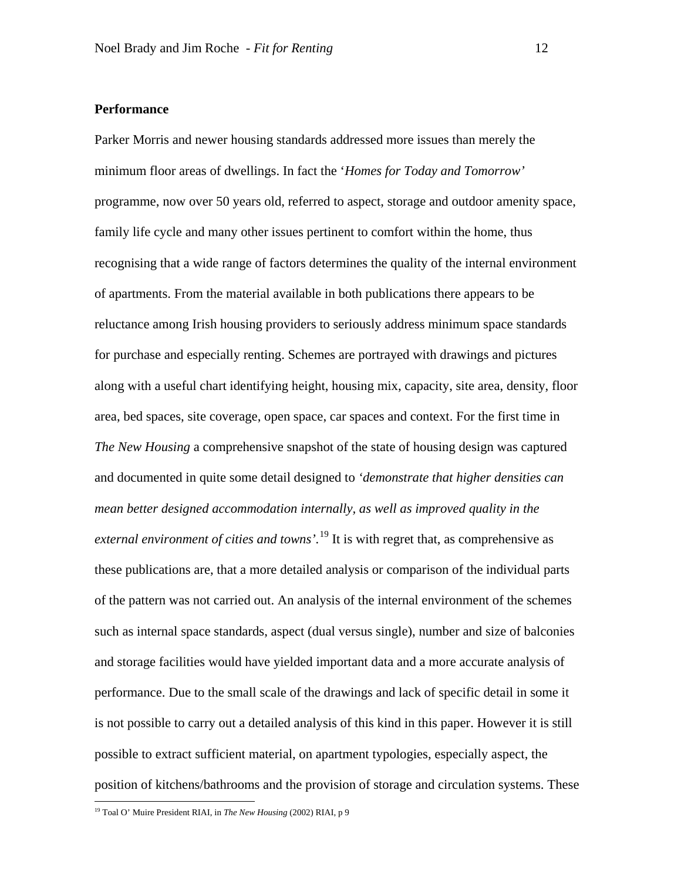## **Performance**

Parker Morris and newer housing standards addressed more issues than merely the minimum floor areas of dwellings. In fact the '*Homes for Today and Tomorrow'* programme, now over 50 years old, referred to aspect, storage and outdoor amenity space, family life cycle and many other issues pertinent to comfort within the home, thus recognising that a wide range of factors determines the quality of the internal environment of apartments. From the material available in both publications there appears to be reluctance among Irish housing providers to seriously address minimum space standards for purchase and especially renting. Schemes are portrayed with drawings and pictures along with a useful chart identifying height, housing mix, capacity, site area, density, floor area, bed spaces, site coverage, open space, car spaces and context. For the first time in *The New Housing* a comprehensive snapshot of the state of housing design was captured and documented in quite some detail designed to *'demonstrate that higher densities can mean better designed accommodation internally, as well as improved quality in the external environment of cities and towns'.* [19](#page-13-0) It is with regret that, as comprehensive as these publications are, that a more detailed analysis or comparison of the individual parts of the pattern was not carried out. An analysis of the internal environment of the schemes such as internal space standards, aspect (dual versus single), number and size of balconies and storage facilities would have yielded important data and a more accurate analysis of performance. Due to the small scale of the drawings and lack of specific detail in some it is not possible to carry out a detailed analysis of this kind in this paper. However it is still possible to extract sufficient material, on apartment typologies, especially aspect, the position of kitchens/bathrooms and the provision of storage and circulation systems. These

<span id="page-13-0"></span> <sup>19</sup> Toal O' Muire President RIAI, in *The New Housing* (2002) RIAI, p 9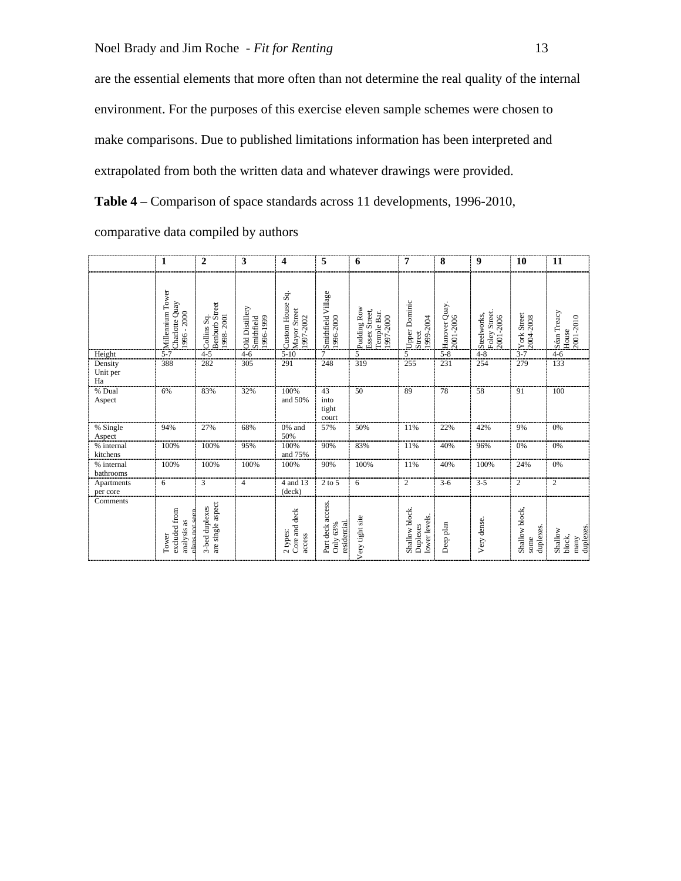are the essential elements that more often than not determine the real quality of the internal environment. For the purposes of this exercise eleven sample schemes were chosen to make comparisons. Due to published limitations information has been interpreted and extrapolated from both the written data and whatever drawings were provided.

**Table 4** – Comparison of space standards across 11 developments, 1996-2010,

| comparative data compiled by authors |  |  |
|--------------------------------------|--|--|
|                                      |  |  |

|                           | 1                                                 | 2                                                   | 3                                         | 4                                                | 5                                            | 6                                                        | 7                                           | 8                          | 9                                             | 10                                  | 11                                     |
|---------------------------|---------------------------------------------------|-----------------------------------------------------|-------------------------------------------|--------------------------------------------------|----------------------------------------------|----------------------------------------------------------|---------------------------------------------|----------------------------|-----------------------------------------------|-------------------------------------|----------------------------------------|
|                           | Millennium Tower<br>Charlotte Quay<br>1996 - 2000 | <b>Benburb</b> Street<br>1998 - 2001<br>Collins Sq. | Old Distillery<br>1996-1999<br>Smithfield | Sq.<br>Custom House<br>Mayor Street<br>1997-2002 | Smithfield Village<br>1996-2000              | Pudding Row<br>Essex Street,<br>Temple Bar.<br>1997-2000 | Upper Dominic<br>1999-2004<br>Street        | Hanover Quay.<br>2001-2006 | Street.<br>Steel works,<br>2001-2006<br>Foley | York Street<br>2004-2008            | Séan Treacy<br>House<br>2001-2010      |
| Height                    | $5 - 7$                                           | $4 - 5$                                             | $4 - 6$                                   | $5 - 10$                                         | 7                                            | 5                                                        | 5                                           | $5 - 8$                    | $4 - 8$                                       | $3 - 7$                             | $4 - 6$                                |
| Density<br>Unit per<br>Ha | 388                                               | 282                                                 | 305                                       | 291                                              | 248                                          | 319                                                      | 255                                         | 231                        | 254                                           | 279                                 | 133                                    |
| % Dual<br>Aspect          | 6%                                                | 83%                                                 | 32%                                       | 100%<br>and 50%                                  | 43<br>into<br>tight<br>court                 | 50                                                       | 89                                          | 78                         | 58                                            | 91                                  | 100                                    |
| % Single<br>Aspect        | 94%                                               | 27%                                                 | 68%                                       | 0% and<br>50%                                    | 57%                                          | 50%                                                      | 11%                                         | 22%                        | 42%                                           | 9%                                  | 0%                                     |
| % internal<br>kitchens    | 100%                                              | 100%                                                | 95%                                       | 100%<br>and 75%                                  | 90%                                          | 83%                                                      | 11%                                         | 40%                        | 96%                                           | 0%                                  | 0%                                     |
| % internal<br>bathrooms   | 100%                                              | 100%                                                | 100%                                      | 100%                                             | 90%                                          | 100%                                                     | 11%                                         | 40%                        | 100%                                          | 24%                                 | 0%                                     |
| Apartments<br>per core    | 6                                                 | 3                                                   | $\overline{4}$                            | 4 and 13<br>(deck)                               | $2$ to $5$                                   | 6                                                        | 2                                           | $3 - 6$                    | $3 - 5$                                       | 2                                   | 2                                      |
| Comments                  | excluded from<br>analysis as<br>Tower<br>plans.   | are single aspect<br>3-bed duplexes                 |                                           | Core and deck<br>2 types:<br>access              | Part deck access.<br>residential<br>Only 63% | Very tight site                                          | Shallow block.<br>lower levels.<br>Duplexes | Deep plan                  | Very dense.                                   | Shallow block,<br>duplexes.<br>some | duplexes.<br>Shallow<br>block,<br>many |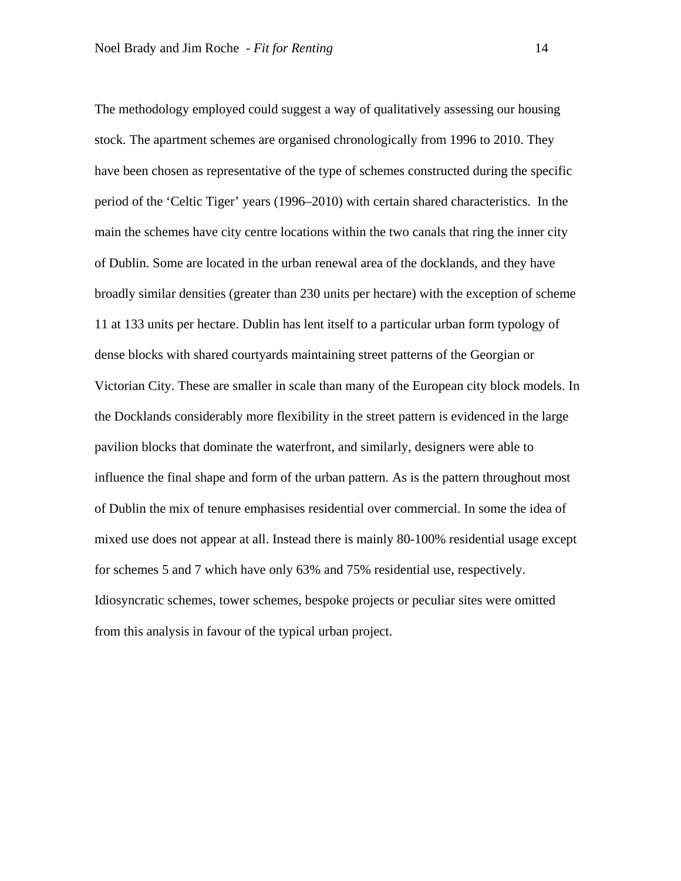The methodology employed could suggest a way of qualitatively assessing our housing stock. The apartment schemes are organised chronologically from 1996 to 2010. They have been chosen as representative of the type of schemes constructed during the specific period of the 'Celtic Tiger' years (1996–2010) with certain shared characteristics. In the main the schemes have city centre locations within the two canals that ring the inner city of Dublin. Some are located in the urban renewal area of the docklands, and they have broadly similar densities (greater than 230 units per hectare) with the exception of scheme 11 at 133 units per hectare. Dublin has lent itself to a particular urban form typology of dense blocks with shared courtyards maintaining street patterns of the Georgian or Victorian City. These are smaller in scale than many of the European city block models. In the Docklands considerably more flexibility in the street pattern is evidenced in the large pavilion blocks that dominate the waterfront, and similarly, designers were able to influence the final shape and form of the urban pattern. As is the pattern throughout most of Dublin the mix of tenure emphasises residential over commercial. In some the idea of mixed use does not appear at all. Instead there is mainly 80-100% residential usage except for schemes 5 and 7 which have only 63% and 75% residential use, respectively. Idiosyncratic schemes, tower schemes, bespoke projects or peculiar sites were omitted from this analysis in favour of the typical urban project.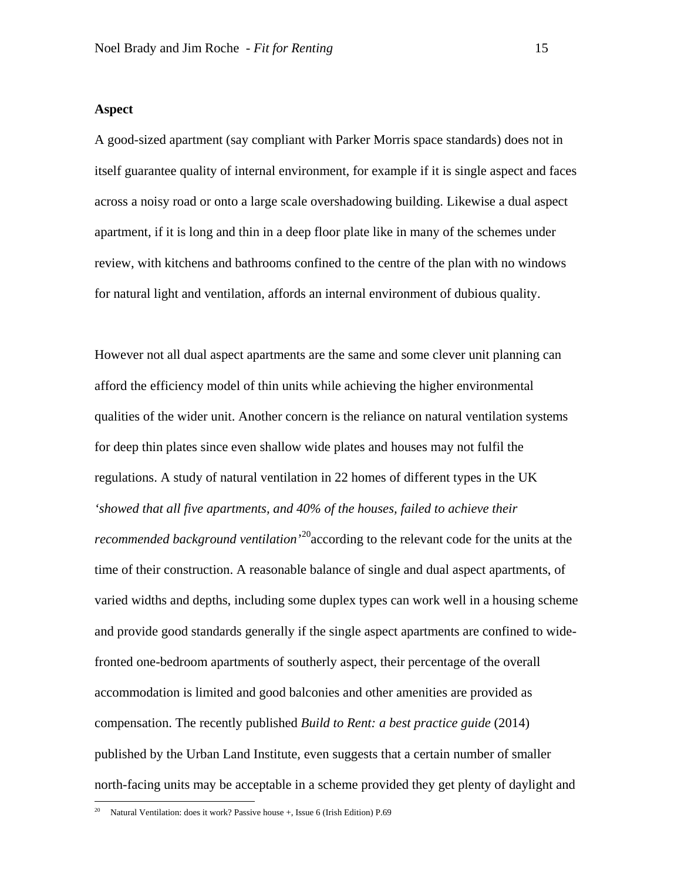## **Aspect**

A good-sized apartment (say compliant with Parker Morris space standards) does not in itself guarantee quality of internal environment, for example if it is single aspect and faces across a noisy road or onto a large scale overshadowing building. Likewise a dual aspect apartment, if it is long and thin in a deep floor plate like in many of the schemes under review, with kitchens and bathrooms confined to the centre of the plan with no windows for natural light and ventilation, affords an internal environment of dubious quality.

However not all dual aspect apartments are the same and some clever unit planning can afford the efficiency model of thin units while achieving the higher environmental qualities of the wider unit. Another concern is the reliance on natural ventilation systems for deep thin plates since even shallow wide plates and houses may not fulfil the regulations. A study of natural ventilation in 22 homes of different types in the UK *'showed that all five apartments, and 40% of the houses, failed to achieve their*  recommended background ventilation<sup>, 20</sup> according to the relevant code for the units at the time of their construction. A reasonable balance of single and dual aspect apartments, of varied widths and depths, including some duplex types can work well in a housing scheme and provide good standards generally if the single aspect apartments are confined to widefronted one-bedroom apartments of southerly aspect, their percentage of the overall accommodation is limited and good balconies and other amenities are provided as compensation. The recently published *Build to Rent: a best practice guide* (2014) published by the Urban Land Institute, even suggests that a certain number of smaller north-facing units may be acceptable in a scheme provided they get plenty of daylight and

<span id="page-16-0"></span> <sup>20</sup> Natural Ventilation: does it work? Passive house +, Issue 6 (Irish Edition) P.69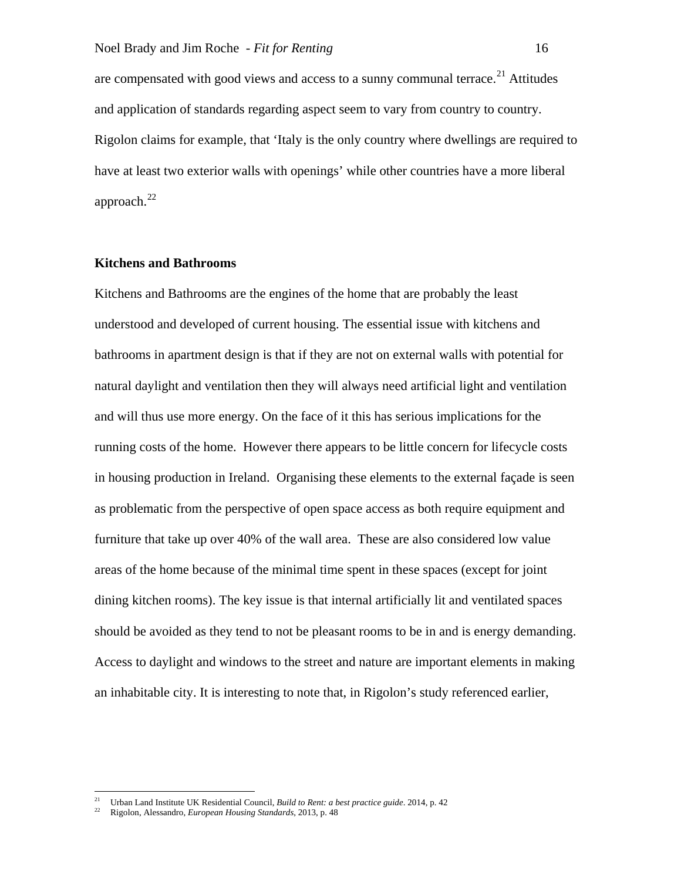are compensated with good views and access to a sunny communal terrace.<sup>[21](#page-17-0)</sup> Attitudes and application of standards regarding aspect seem to vary from country to country. Rigolon claims for example, that 'Italy is the only country where dwellings are required to have at least two exterior walls with openings' while other countries have a more liberal approach. [22](#page-17-1)

# **Kitchens and Bathrooms**

Kitchens and Bathrooms are the engines of the home that are probably the least understood and developed of current housing. The essential issue with kitchens and bathrooms in apartment design is that if they are not on external walls with potential for natural daylight and ventilation then they will always need artificial light and ventilation and will thus use more energy. On the face of it this has serious implications for the running costs of the home. However there appears to be little concern for lifecycle costs in housing production in Ireland. Organising these elements to the external façade is seen as problematic from the perspective of open space access as both require equipment and furniture that take up over 40% of the wall area. These are also considered low value areas of the home because of the minimal time spent in these spaces (except for joint dining kitchen rooms). The key issue is that internal artificially lit and ventilated spaces should be avoided as they tend to not be pleasant rooms to be in and is energy demanding. Access to daylight and windows to the street and nature are important elements in making an inhabitable city. It is interesting to note that, in Rigolon's study referenced earlier,

 <sup>21</sup> Urban Land Institute UK Residential Council, *Build to Rent: a best practice guide*. 2014, p. 42

<span id="page-17-1"></span><span id="page-17-0"></span><sup>22</sup> Rigolon, Alessandro, *European Housing Standards*, 2013, p. 48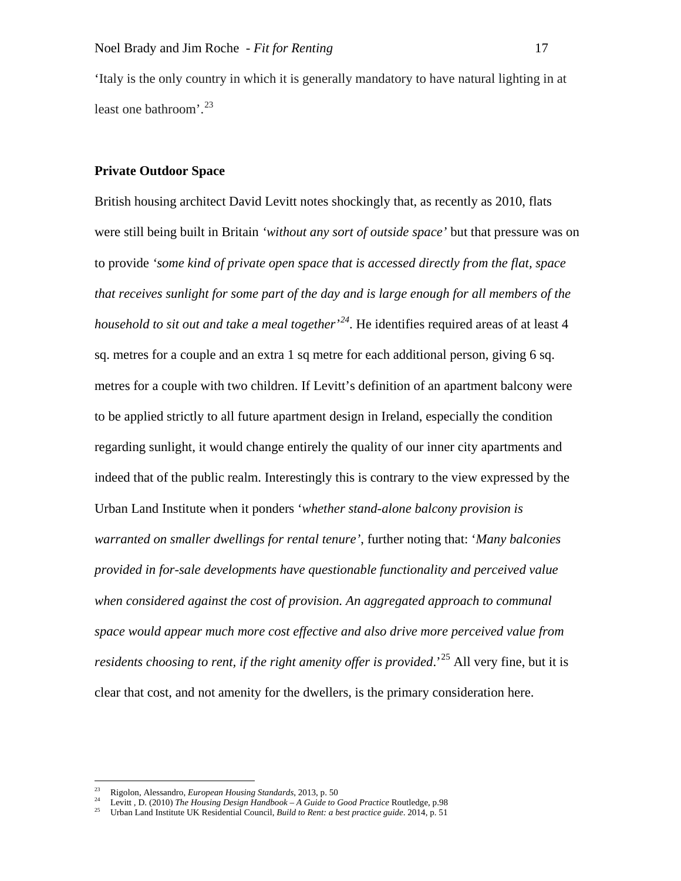'Italy is the only country in which it is generally mandatory to have natural lighting in at least one bathroom'. [23](#page-18-0)

## **Private Outdoor Space**

British housing architect David Levitt notes shockingly that, as recently as 2010, flats were still being built in Britain *'without any sort of outside space'* but that pressure was on to provide *'some kind of private open space that is accessed directly from the flat, space that receives sunlight for some part of the day and is large enough for all members of the household to sit out and take a meal together' [24](#page-18-1)*. He identifies required areas of at least 4 sq. metres for a couple and an extra 1 sq metre for each additional person, giving 6 sq. metres for a couple with two children. If Levitt's definition of an apartment balcony were to be applied strictly to all future apartment design in Ireland, especially the condition regarding sunlight, it would change entirely the quality of our inner city apartments and indeed that of the public realm. Interestingly this is contrary to the view expressed by the Urban Land Institute when it ponders '*whether stand-alone balcony provision is warranted on smaller dwellings for rental tenure'*, further noting that: '*Many balconies provided in for-sale developments have questionable functionality and perceived value when considered against the cost of provision. An aggregated approach to communal space would appear much more cost effective and also drive more perceived value from*  residents choosing to rent, if the right amenity offer is provided.<sup>[25](#page-18-2)</sup> All very fine, but it is clear that cost, and not amenity for the dwellers, is the primary consideration here.

 <sup>23</sup> Rigolon, Alessandro, *European Housing Standards*, 2013, p. 50

<span id="page-18-2"></span><span id="page-18-1"></span><span id="page-18-0"></span><sup>24</sup> Levitt , D. (2010) *The Housing Design Handbook – A Guide to Good Practice* Routledge, p.98

<sup>25</sup> Urban Land Institute UK Residential Council, *Build to Rent: a best practice guide*. 2014, p. 51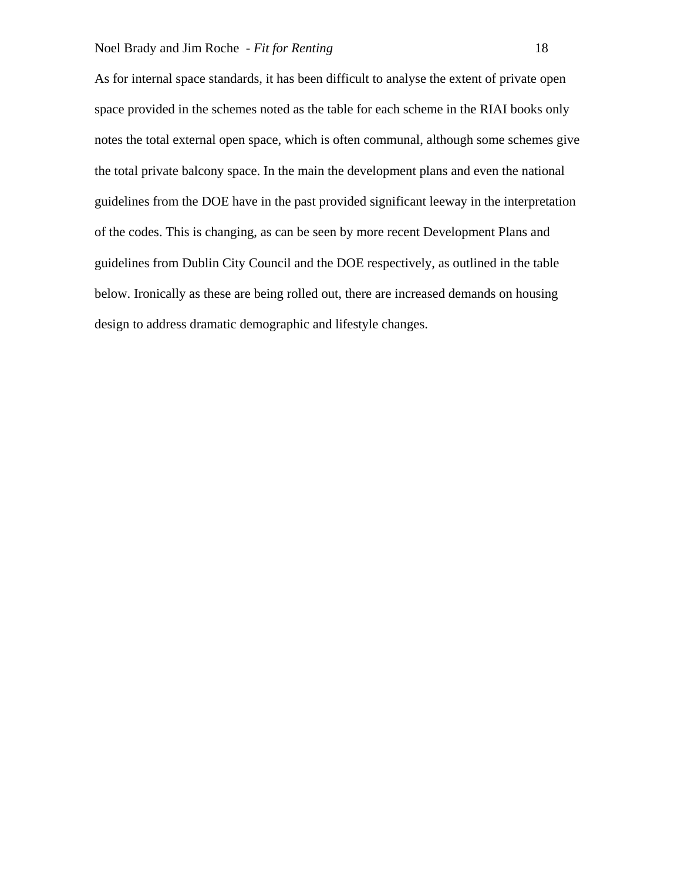As for internal space standards, it has been difficult to analyse the extent of private open space provided in the schemes noted as the table for each scheme in the RIAI books only notes the total external open space, which is often communal, although some schemes give the total private balcony space. In the main the development plans and even the national guidelines from the DOE have in the past provided significant leeway in the interpretation of the codes. This is changing, as can be seen by more recent Development Plans and guidelines from Dublin City Council and the DOE respectively, as outlined in the table below. Ironically as these are being rolled out, there are increased demands on housing design to address dramatic demographic and lifestyle changes.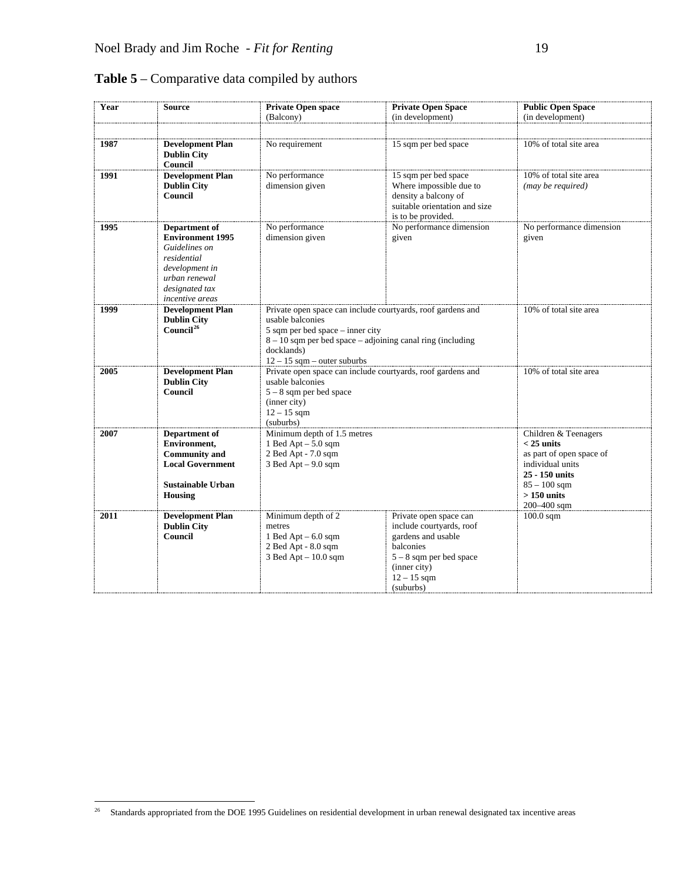| Year | <b>Source</b>                                                                                                                                    | Private Open space                                                                                                                                                                                                                                                                 | <b>Private Open Space</b>                                                                                                                                        | <b>Public Open Space</b>                    |
|------|--------------------------------------------------------------------------------------------------------------------------------------------------|------------------------------------------------------------------------------------------------------------------------------------------------------------------------------------------------------------------------------------------------------------------------------------|------------------------------------------------------------------------------------------------------------------------------------------------------------------|---------------------------------------------|
|      |                                                                                                                                                  | (Balcony)                                                                                                                                                                                                                                                                          | (in development)                                                                                                                                                 | (in development)                            |
|      |                                                                                                                                                  |                                                                                                                                                                                                                                                                                    |                                                                                                                                                                  |                                             |
| 1987 | <b>Development Plan</b><br><b>Dublin City</b><br>Council                                                                                         | No requirement                                                                                                                                                                                                                                                                     | 15 sqm per bed space                                                                                                                                             | 10% of total site area                      |
| 1991 | <b>Development Plan</b><br><b>Dublin City</b><br>Council                                                                                         | No performance<br>dimension given                                                                                                                                                                                                                                                  | 15 sqm per bed space<br>Where impossible due to<br>density a balcony of<br>suitable orientation and size<br>is to be provided.                                   | 10% of total site area<br>(may be required) |
| 1995 | Department of<br><b>Environment 1995</b><br>Guidelines on<br>residential<br>development in<br>urban renewal<br>designated tax<br>incentive areas | No performance<br>dimension given                                                                                                                                                                                                                                                  | No performance dimension<br>given                                                                                                                                | No performance dimension<br>given           |
| 1999 | <b>Development Plan</b><br><b>Dublin City</b><br>Council <sup>26</sup>                                                                           | Private open space can include courty and space and private open space can include courty and gardens and<br>usable balconies<br>$5$ sqm per bed space – inner city<br>$8 - 10$ sqm per bed space – adjoining canal ring (including<br>docklands)<br>$12 - 15$ sqm – outer suburbs | 10% of total site area                                                                                                                                           |                                             |
| 2005 | <b>Development Plan</b><br><b>Dublin City</b><br>Council                                                                                         | Private open space can include courtyards, roof gardens and<br>usable balconies<br>$5 - 8$ sqm per bed space<br>(inner city)<br>$12 - 15$ sqm<br>(suburbs)                                                                                                                         | 10% of total site area                                                                                                                                           |                                             |
| 2007 | Department of<br>Environment,<br><b>Community and</b><br><b>Local Government</b><br><b>Sustainable Urban</b><br><b>Housing</b>                   | Minimum depth of 1.5 metres<br>1 Bed Apt $-5.0$ sqm<br>2 Bed Apt - 7.0 sqm<br>$3$ Bed Apt $-9.0$ sqm                                                                                                                                                                               | Children & Teenagers<br>$<$ 25 units<br>as part of open space of<br>individual units<br>25 - 150 units<br>$85 - 100$ sqm<br>$>150$ units<br>200-400 sqm          |                                             |
| 2011 | <b>Development Plan</b><br><b>Dublin City</b><br>Council                                                                                         | Minimum depth of 2<br>metres<br>1 Bed Apt $-6.0$ sqm<br>2 Bed Apt - 8.0 sqm<br>$3$ Bed Apt $-10.0$ sqm                                                                                                                                                                             | Private open space can<br>include courtyards, roof<br>gardens and usable<br>balconies<br>$5 - 8$ sqm per bed space<br>(inner city)<br>$12 - 15$ sqm<br>(suburbs) | $100.0$ sqm                                 |

**Table 5** – Comparative data compiled by authors

<span id="page-20-0"></span><sup>&</sup>lt;sup>26</sup> Standards appropriated from the DOE 1995 Guidelines on residential development in urban renewal designated tax incentive areas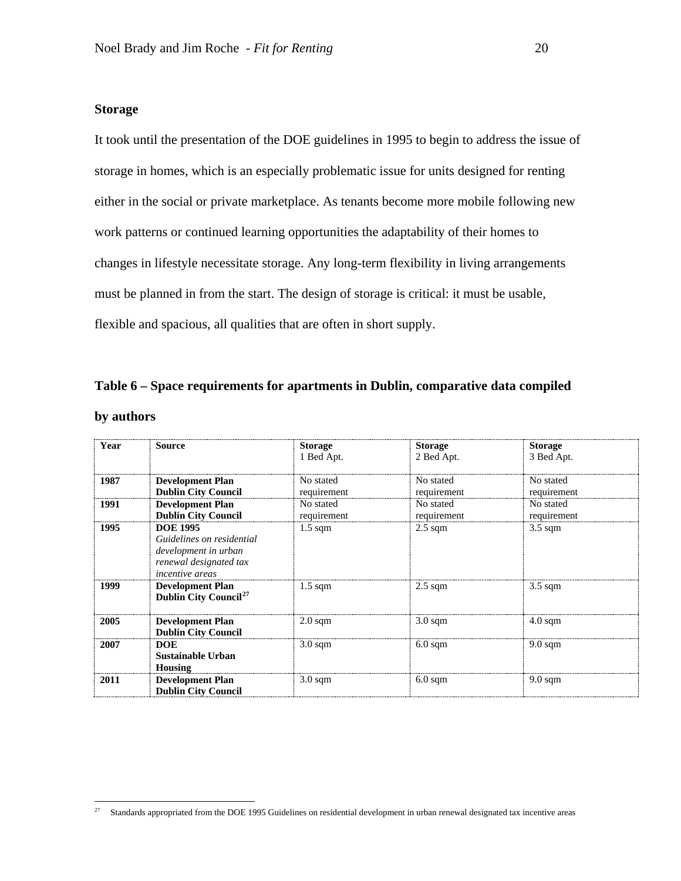## **Storage**

It took until the presentation of the DOE guidelines in 1995 to begin to address the issue of storage in homes, which is an especially problematic issue for units designed for renting either in the social or private marketplace. As tenants become more mobile following new work patterns or continued learning opportunities the adaptability of their homes to changes in lifestyle necessitate storage. Any long-term flexibility in living arrangements must be planned in from the start. The design of storage is critical: it must be usable, flexible and spacious, all qualities that are often in short supply.

|            | Table 6 – Space requirements for apartments in Dublin, comparative data compiled |  |  |
|------------|----------------------------------------------------------------------------------|--|--|
| by authors |                                                                                  |  |  |

| Year | Source                                                                                                                   | <b>Storage</b><br>1 Bed Apt. | <b>Storage</b><br>2 Bed Apt. | <b>Storage</b><br>3 Bed Apt. |
|------|--------------------------------------------------------------------------------------------------------------------------|------------------------------|------------------------------|------------------------------|
| 1987 | <b>Development Plan</b><br><b>Dublin City Council</b>                                                                    | No stated<br>requirement     | No stated<br>requirement     | No stated<br>requirement     |
| 1991 | <b>Development Plan</b><br><b>Dublin City Council</b>                                                                    | No stated<br>requirement     | No stated<br>requirement     | No stated<br>requirement     |
| 1995 | <b>DOE 1995</b><br>Guidelines on residential<br>development in urban<br>renewal designated tax<br><i>incentive areas</i> | $1.5 \text{ sqm}$            | $2.5 \text{ sqm}$            | $3.5 \text{ sqm}$            |
| 1999 | <b>Development Plan</b><br>Dublin City Council <sup>27</sup>                                                             | $1.5 \text{ sqm}$            | $2.5 \text{ sqm}$            | $3.5 \text{ sqm}$            |
| 2005 | <b>Development Plan</b><br><b>Dublin City Council</b>                                                                    | $2.0 \text{ sqm}$            | $3.0 \text{ sqm}$            | $4.0 \text{ sqm}$            |
| 2007 | <b>DOE</b><br>Sustainable Urban<br>Housing                                                                               | $3.0 \text{ sqm}$            | $6.0 \text{ sqm}$            | $9.0 \text{ sqm}$            |
| 2011 | <b>Development Plan</b><br><b>Dublin City Council</b>                                                                    | $3.0 \text{ sqm}$            | $6.0 \text{ sqm}$            | $9.0 \text{ sqm}$            |

<span id="page-21-0"></span><sup>&</sup>lt;sup>27</sup> Standards appropriated from the DOE 1995 Guidelines on residential development in urban renewal designated tax incentive areas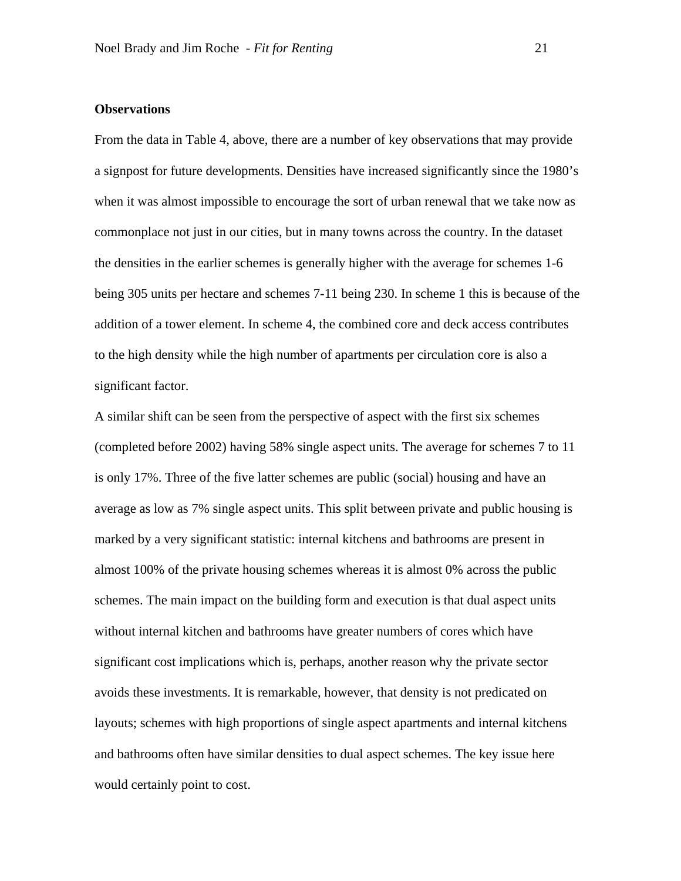## **Observations**

From the data in Table 4, above, there are a number of key observations that may provide a signpost for future developments. Densities have increased significantly since the 1980's when it was almost impossible to encourage the sort of urban renewal that we take now as commonplace not just in our cities, but in many towns across the country. In the dataset the densities in the earlier schemes is generally higher with the average for schemes 1-6 being 305 units per hectare and schemes 7-11 being 230. In scheme 1 this is because of the addition of a tower element. In scheme 4, the combined core and deck access contributes to the high density while the high number of apartments per circulation core is also a significant factor.

A similar shift can be seen from the perspective of aspect with the first six schemes (completed before 2002) having 58% single aspect units. The average for schemes 7 to 11 is only 17%. Three of the five latter schemes are public (social) housing and have an average as low as 7% single aspect units. This split between private and public housing is marked by a very significant statistic: internal kitchens and bathrooms are present in almost 100% of the private housing schemes whereas it is almost 0% across the public schemes. The main impact on the building form and execution is that dual aspect units without internal kitchen and bathrooms have greater numbers of cores which have significant cost implications which is, perhaps, another reason why the private sector avoids these investments. It is remarkable, however, that density is not predicated on layouts; schemes with high proportions of single aspect apartments and internal kitchens and bathrooms often have similar densities to dual aspect schemes. The key issue here would certainly point to cost.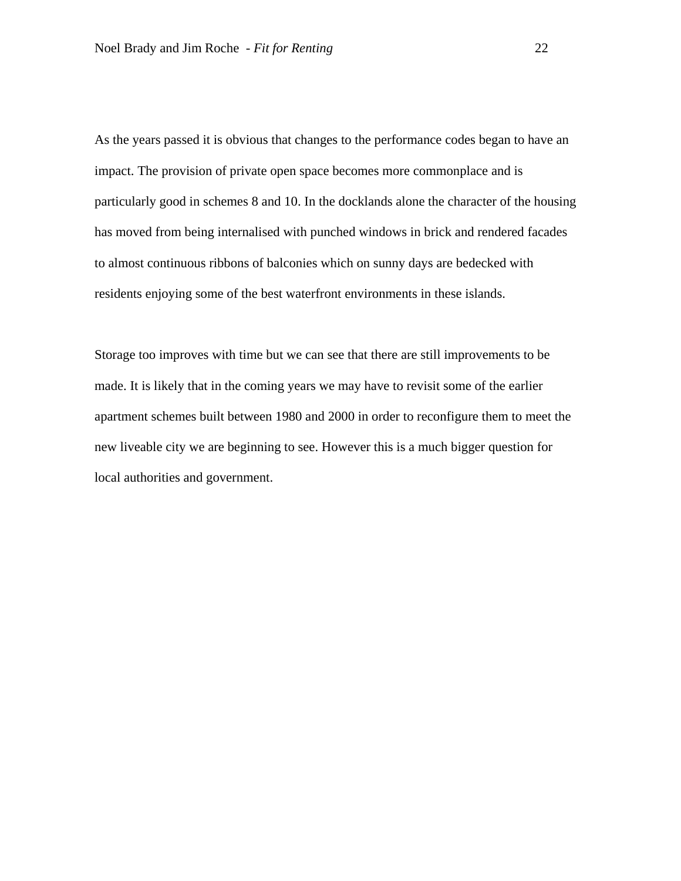As the years passed it is obvious that changes to the performance codes began to have an impact. The provision of private open space becomes more commonplace and is particularly good in schemes 8 and 10. In the docklands alone the character of the housing has moved from being internalised with punched windows in brick and rendered facades to almost continuous ribbons of balconies which on sunny days are bedecked with residents enjoying some of the best waterfront environments in these islands.

Storage too improves with time but we can see that there are still improvements to be made. It is likely that in the coming years we may have to revisit some of the earlier apartment schemes built between 1980 and 2000 in order to reconfigure them to meet the new liveable city we are beginning to see. However this is a much bigger question for local authorities and government.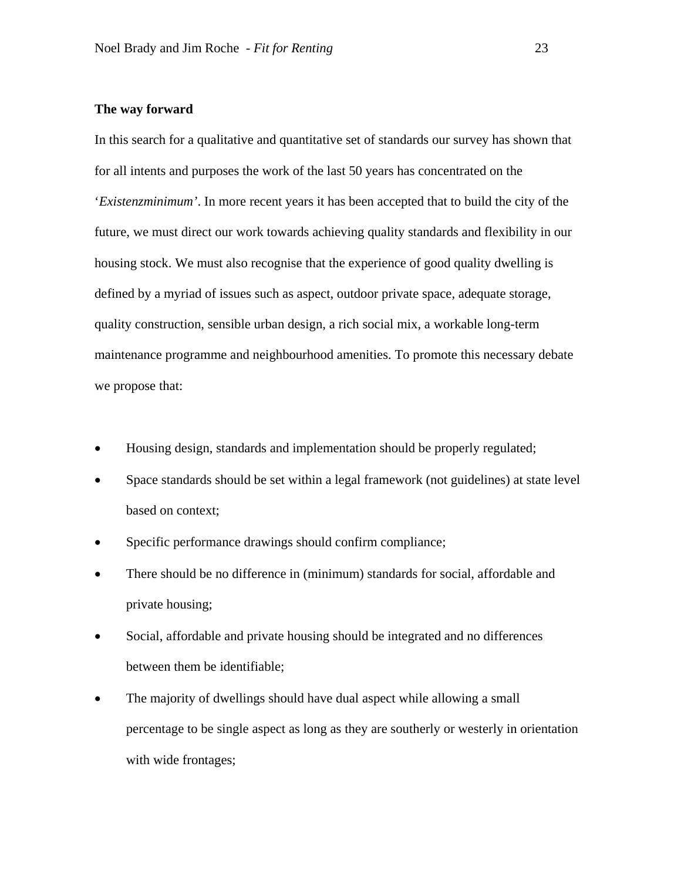## **The way forward**

In this search for a qualitative and quantitative set of standards our survey has shown that for all intents and purposes the work of the last 50 years has concentrated on the '*Existenzminimum'*. In more recent years it has been accepted that to build the city of the future, we must direct our work towards achieving quality standards and flexibility in our housing stock. We must also recognise that the experience of good quality dwelling is defined by a myriad of issues such as aspect, outdoor private space, adequate storage, quality construction, sensible urban design, a rich social mix, a workable long-term maintenance programme and neighbourhood amenities. To promote this necessary debate we propose that:

- Housing design, standards and implementation should be properly regulated;
- Space standards should be set within a legal framework (not guidelines) at state level based on context;
- Specific performance drawings should confirm compliance;
- There should be no difference in (minimum) standards for social, affordable and private housing;
- Social, affordable and private housing should be integrated and no differences between them be identifiable;
- The majority of dwellings should have dual aspect while allowing a small percentage to be single aspect as long as they are southerly or westerly in orientation with wide frontages;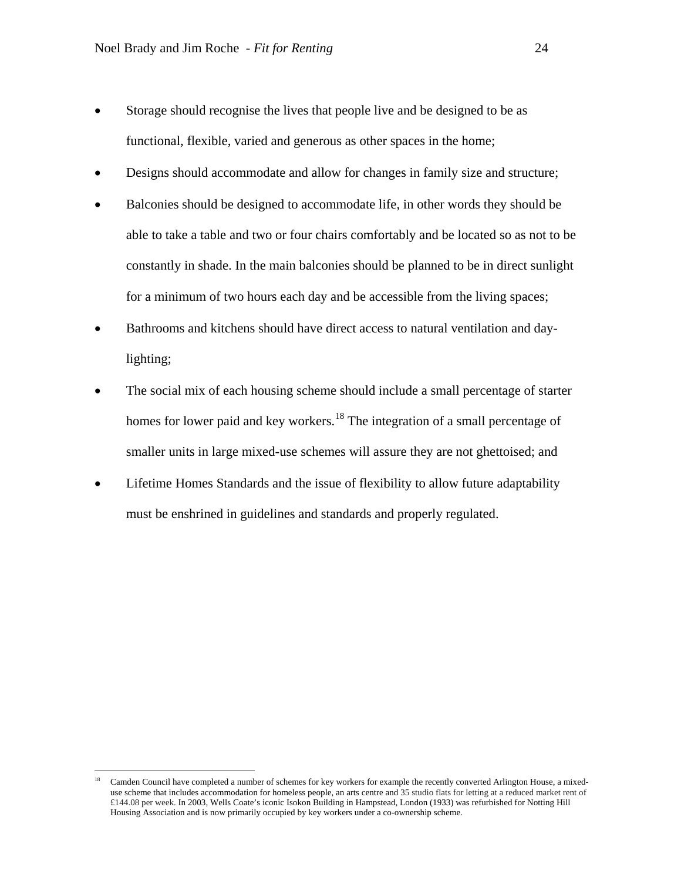- Storage should recognise the lives that people live and be designed to be as functional, flexible, varied and generous as other spaces in the home;
- Designs should accommodate and allow for changes in family size and structure;
- Balconies should be designed to accommodate life, in other words they should be able to take a table and two or four chairs comfortably and be located so as not to be constantly in shade. In the main balconies should be planned to be in direct sunlight for a minimum of two hours each day and be accessible from the living spaces;
- Bathrooms and kitchens should have direct access to natural ventilation and daylighting;
- The social mix of each housing scheme should include a small percentage of starter homes for lower paid and key workers.<sup>[18](#page-25-0)</sup> The integration of a small percentage of smaller units in large mixed-use schemes will assure they are not ghettoised; and
- Lifetime Homes Standards and the issue of flexibility to allow future adaptability must be enshrined in guidelines and standards and properly regulated.

<span id="page-25-0"></span><sup>&</sup>lt;sup>18</sup> Camden Council have completed a number of schemes for key workers for example the recently converted Arlington House, a mixeduse scheme that includes accommodation for homeless people, an arts centre and 35 studio flats for letting at a reduced market rent of £144.08 per week. In 2003, Wells Coate's iconic Isokon Building in Hampstead, London (1933) was refurbished for Notting Hill Housing Association and is now primarily occupied by key workers under a co-ownership scheme.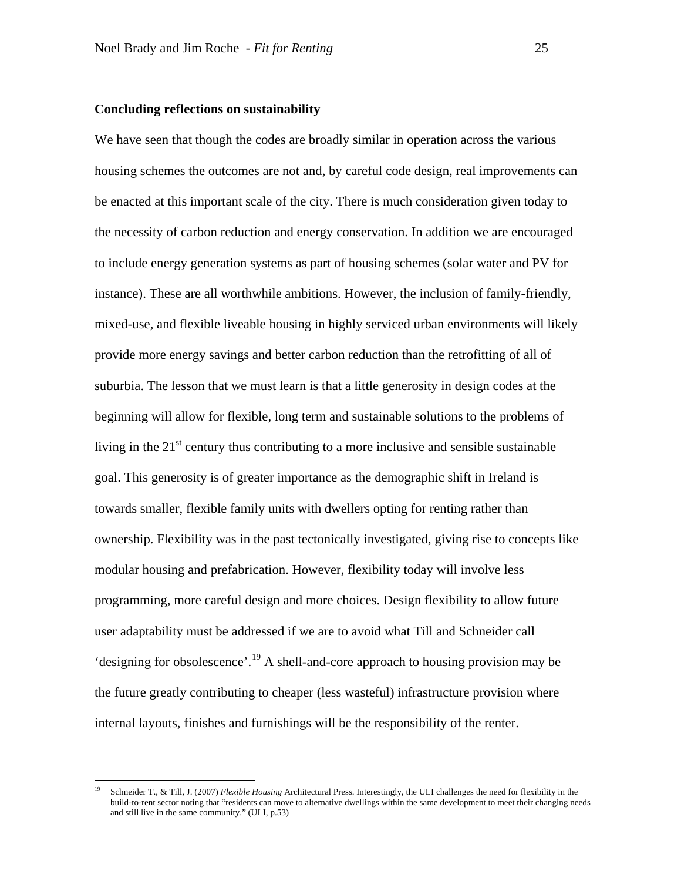#### **Concluding reflections on sustainability**

We have seen that though the codes are broadly similar in operation across the various housing schemes the outcomes are not and, by careful code design, real improvements can be enacted at this important scale of the city. There is much consideration given today to the necessity of carbon reduction and energy conservation. In addition we are encouraged to include energy generation systems as part of housing schemes (solar water and PV for instance). These are all worthwhile ambitions. However, the inclusion of family-friendly, mixed-use, and flexible liveable housing in highly serviced urban environments will likely provide more energy savings and better carbon reduction than the retrofitting of all of suburbia. The lesson that we must learn is that a little generosity in design codes at the beginning will allow for flexible, long term and sustainable solutions to the problems of living in the  $21<sup>st</sup>$  century thus contributing to a more inclusive and sensible sustainable goal. This generosity is of greater importance as the demographic shift in Ireland is towards smaller, flexible family units with dwellers opting for renting rather than ownership. Flexibility was in the past tectonically investigated, giving rise to concepts like modular housing and prefabrication. However, flexibility today will involve less programming, more careful design and more choices. Design flexibility to allow future user adaptability must be addressed if we are to avoid what Till and Schneider call 'designing for obsolescence'. [19](#page-26-0) A shell-and-core approach to housing provision may be the future greatly contributing to cheaper (less wasteful) infrastructure provision where internal layouts, finishes and furnishings will be the responsibility of the renter.

<span id="page-26-0"></span> <sup>19</sup> Schneider T., & Till, J. (2007) *Flexible Housing* Architectural Press. Interestingly, the ULI challenges the need for flexibility in the build-to-rent sector noting that "residents can move to alternative dwellings within the same development to meet their changing needs and still live in the same community." (ULI, p.53)